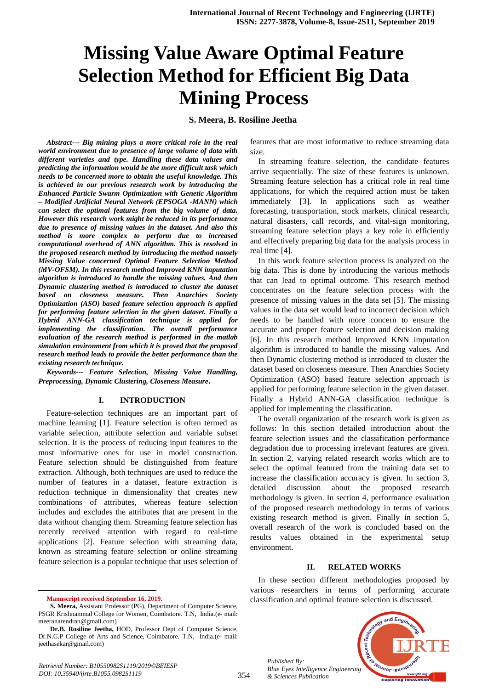# **Missing Value Aware Optimal Feature Selection Method for Efficient Big Data Mining Process**

#### **S. Meera, B. Rosiline Jeetha**

*Abstract--- Big mining plays a more critical role in the real world environment due to presence of large volume of data with different varieties and type. Handling these data values and predicting the information would be the more difficult task which needs to be concerned more to obtain the useful knowledge. This is achieved in our previous research work by introducing the Enhanced Particle Swarm Optimization with Genetic Algorithm – Modified Artificial Neural Network (EPSOGA -MANN) which can select the optimal features from the big volume of data. However this research work might be reduced in its performance due to presence of missing values in the dataset. And also this method is more complex to perform due to increased computational overhead of ANN algorithm. This is resolved in the proposed research method by introducing the method namely Missing Value concerned Optimal Feature Selection Method (MV-OFSM). In this research method Improved KNN imputation algorithm is introduced to handle the missing values. And then Dynamic clustering method is introduced to cluster the dataset based on closeness measure. Then Anarchies Society Optimization (ASO) based feature selection approach is applied for performing feature selection in the given dataset. Finally a Hybrid ANN-GA classification technique is applied for implementing the classification. The overall performance evaluation of the research method is performed in the matlab simulation environment from which it is proved that the proposed research method leads to provide the better performance than the existing research technique.* 

*Keywords--- Feature Selection, Missing Value Handling, Preprocessing, Dynamic Clustering, Closeness Measure***.**

#### **I. INTRODUCTION**

Feature-selection techniques are an important part of machine learning [1]. Feature selection is often termed as variable selection, attribute selection and variable subset selection. It is the process of reducing input features to the most informative ones for use in model construction. Feature selection should be distinguished from feature extraction. Although, both techniques are used to reduce the number of features in a dataset, feature extraction is reduction technique in dimensionality that creates new combinations of attributes, whereas feature selection includes and excludes the attributes that are present in the data without changing them. Streaming feature selection has recently received attention with regard to real-time applications [2]. Feature selection with streaming data, known as streaming feature selection or online streaming feature selection is a popular technique that uses selection of

 $\overline{a}$ 

features that are most informative to reduce streaming data size.

In streaming feature selection, the candidate features arrive sequentially. The size of these features is unknown. Streaming feature selection has a critical role in real time applications, for which the required action must be taken immediately [3]. In applications such as weather forecasting, transportation, stock markets, clinical research, natural disasters, call records, and vital-sign monitoring, streaming feature selection plays a key role in efficiently and effectively preparing big data for the analysis process in real time [4].

In this work feature selection process is analyzed on the big data. This is done by introducing the various methods that can lead to optimal outcome. This research method concentrates on the feature selection process with the presence of missing values in the data set [5]. The missing values in the data set would lead to incorrect decision which needs to be handled with more concern to ensure the accurate and proper feature selection and decision making [6]. In this research method Improved KNN imputation algorithm is introduced to handle the missing values. And then Dynamic clustering method is introduced to cluster the dataset based on closeness measure. Then Anarchies Society Optimization (ASO) based feature selection approach is applied for performing feature selection in the given dataset. Finally a Hybrid ANN-GA classification technique is applied for implementing the classification.

The overall organization of the research work is given as follows: In this section detailed introduction about the feature selection issues and the classification performance degradation due to processing irrelevant features are given. In section 2, varying related research works which are to select the optimal featured from the training data set to increase the classification accuracy is given. In section 3, detailed discussion about the proposed research methodology is given. In section 4, performance evaluation of the proposed research methodology in terms of various existing research method is given. Finally in section 5, overall research of the work is concluded based on the results values obtained in the experimental setup environment.

#### **II. RELATED WORKS**

In these section different methodologies proposed by various researchers in terms of performing accurate classification and optimal feature selection is discussed.





**Manuscript received September 16, 2019.**

**S. Meera,** Assistant Professor (PG), Department of Computer Science, PSGR Krishnammal College for Women, Coimbatore. T.N, India.(e- mail: [meeranarendran@gmail.com\)](mailto:meeranarendran@gmail.com)

**Dr.B. Rosiline Jeetha,** HOD, Professor Dept of Computer Science, Dr.N.G.P College of Arts and Science, Coimbatore. T.N, India.(e- mail: jeethasekar@gmail.com)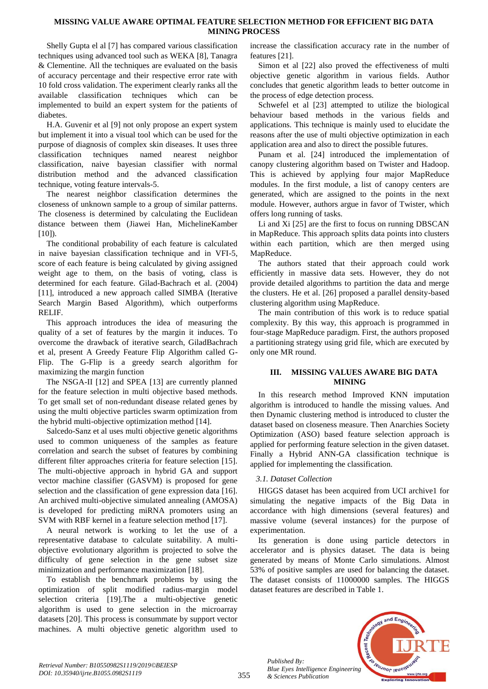## **MISSING VALUE AWARE OPTIMAL FEATURE SELECTION METHOD FOR EFFICIENT BIG DATA MINING PROCESS**

Shelly Gupta el al [7] has compared various classification techniques using advanced tool such as WEKA [8], Tanagra & Clementine. All the techniques are evaluated on the basis of accuracy percentage and their respective error rate with 10 fold cross validation. The experiment clearly ranks all the available classification techniques which can be implemented to build an expert system for the patients of diabetes.

H.A. Guvenir et al [9] not only propose an expert system but implement it into a visual tool which can be used for the purpose of diagnosis of complex skin diseases. It uses three classification techniques named nearest neighbor classification, naive bayesian classifier with normal distribution method and the advanced classification technique, voting feature intervals-5.

The nearest neighbor classification determines the closeness of unknown sample to a group of similar patterns. The closeness is determined by calculating the Euclidean distance between them (Jiawei Han, MichelineKamber  $[10]$ ).

The conditional probability of each feature is calculated in naive bayesian classification technique and in VFI-5, score of each feature is being calculated by giving assigned weight age to them, on the basis of voting, class is determined for each feature. Gilad-Bachrach et al. (2004) [11], introduced a new approach called SIMBA (Iterative Search Margin Based Algorithm), which outperforms RELIF.

This approach introduces the idea of measuring the quality of a set of features by the margin it induces. To overcome the drawback of iterative search, GiladBachrach et al, present A Greedy Feature Flip Algorithm called G-Flip. The G-Flip is a greedy search algorithm for maximizing the margin function

The NSGA-II [12] and SPEA [13] are currently planned for the feature selection in multi objective based methods. To get small set of non-redundant disease related genes by using the multi objective particles swarm optimization from the hybrid multi-objective optimization method [14].

Salcedo-Sanz et al uses multi objective genetic algorithms used to common uniqueness of the samples as feature correlation and search the subset of features by combining different filter approaches criteria for feature selection [15]. The multi-objective approach in hybrid GA and support vector machine classifier (GASVM) is proposed for gene selection and the classification of gene expression data [16]. An archived multi-objective simulated annealing (AMOSA) is developed for predicting miRNA promoters using an SVM with RBF kernel in a feature selection method [17].

A neural network is working to let the use of a representative database to calculate suitability. A multiobjective evolutionary algorithm is projected to solve the difficulty of gene selection in the gene subset size minimization and performance maximization [18].

To establish the benchmark problems by using the optimization of split modified radius-margin model selection criteria [19].The a multi-objective genetic algorithm is used to gene selection in the microarray datasets [20]. This process is consummate by support vector machines. A multi objective genetic algorithm used to increase the classification accuracy rate in the number of features [21].

Simon et al [22] also proved the effectiveness of multi objective genetic algorithm in various fields. Author concludes that genetic algorithm leads to better outcome in the process of edge detection process.

Schwefel et al [23] attempted to utilize the biological behaviour based methods in the various fields and applications. This technique is mainly used to elucidate the reasons after the use of multi objective optimization in each application area and also to direct the possible futures.

Punam et al. [24] introduced the implementation of canopy clustering algorithm based on Twister and Hadoop. This is achieved by applying four major MapReduce modules. In the first module, a list of canopy centers are generated, which are assigned to the points in the next module. However, authors argue in favor of Twister, which offers long running of tasks.

Li and Xi [25] are the first to focus on running DBSCAN in MapReduce. This approach splits data points into clusters within each partition, which are then merged using MapReduce.

The authors stated that their approach could work efficiently in massive data sets. However, they do not provide detailed algorithms to partition the data and merge the clusters. He et al. [26] proposed a parallel density-based clustering algorithm using MapReduce.

The main contribution of this work is to reduce spatial complexity. By this way, this approach is programmed in four-stage MapReduce paradigm. First, the authors proposed a partitioning strategy using grid file, which are executed by only one MR round.

# **III. MISSING VALUES AWARE BIG DATA MINING**

In this research method Improved KNN imputation algorithm is introduced to handle the missing values. And then Dynamic clustering method is introduced to cluster the dataset based on closeness measure. Then Anarchies Society Optimization (ASO) based feature selection approach is applied for performing feature selection in the given dataset. Finally a Hybrid ANN-GA classification technique is applied for implementing the classification.

# *3.1. Dataset Collection*

HIGGS dataset has been acquired from UCI archive1 for simulating the negative impacts of the Big Data in accordance with high dimensions (several features) and massive volume (several instances) for the purpose of experimentation.

Its generation is done using particle detectors in accelerator and is physics dataset. The data is being generated by means of Monte Carlo simulations. Almost 53% of positive samples are used for balancing the dataset. The dataset consists of 11000000 samples. The HIGGS dataset features are described in Table 1.



*Published By:*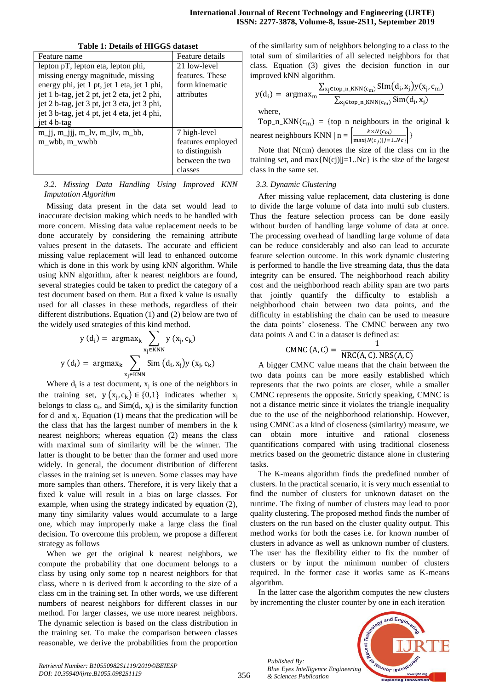| Table 1. Details of Hitcher Galasci                        |                   |
|------------------------------------------------------------|-------------------|
| Feature name                                               | Feature details   |
| lepton pT, lepton eta, lepton phi,                         | 21 low-level      |
| missing energy magnitude, missing                          | features. These   |
| energy phi, jet 1 pt, jet 1 eta, jet 1 phi,                | form kinematic    |
| jet 1 b-tag, jet 2 pt, jet 2 eta, jet 2 phi,               | attributes        |
| jet 2 b-tag, jet 3 pt, jet 3 eta, jet 3 phi,               |                   |
| jet 3 b-tag, jet 4 pt, jet 4 eta, jet 4 phi,               |                   |
| jet 4 b-tag                                                |                   |
| $m_{ij}$ , $m_{jij}$ , $m_{jiv}$ , $m_{jiv}$ , $m_{bib}$ , | 7 high-level      |
| m_wbb, m_wwbb                                              | features employed |
|                                                            | to distinguish    |
|                                                            | between the two   |
|                                                            | classes           |
|                                                            |                   |

#### **Table 1: Details of HIGGS dataset**

*3.2. Missing Data Handling Using Improved KNN Imputation Algorithm*

Missing data present in the data set would lead to inaccurate decision making which needs to be handled with more concern. Missing data value replacement needs to be done accurately by considering the remaining attribute values present in the datasets. The accurate and efficient missing value replacement will lead to enhanced outcome which is done in this work by using kNN algorithm. While using kNN algorithm, after k nearest neighbors are found, several strategies could be taken to predict the category of a test document based on them. But a fixed k value is usually used for all classes in these methods, regardless of their different distributions. Equation (1) and (2) below are two of the widely used strategies of this kind method.

$$
y (d_i) = \operatorname{argmax}_{k} \sum_{x_j \in KNN} y (x_j, c_k)
$$
  

$$
y (d_i) = \operatorname{argmax}_{k} \sum_{x_j \in KNN} \operatorname{Sim} (d_i, x_j) y (x_j, c_k)
$$

Where  $d_i$  is a test document,  $x_j$  is one of the neighbors in the training set,  $y(x_i, c_k) \in \{0,1\}$  indicates whether  $x_i$ belongs to class  $c_k$ , and  $Sim(d_i, x_j)$  is the similarity function for  $d_i$  and  $x_j$ . Equation (1) means that the predication will be the class that has the largest number of members in the k nearest neighbors; whereas equation (2) means the class with maximal sum of similarity will be the winner. The latter is thought to be better than the former and used more widely. In general, the document distribution of different classes in the training set is uneven. Some classes may have more samples than others. Therefore, it is very likely that a fixed k value will result in a bias on large classes. For example, when using the strategy indicated by equation (2), many tiny similarity values would accumulate to a large one, which may improperly make a large class the final decision. To overcome this problem, we propose a different strategy as follows

When we get the original k nearest neighbors, we compute the probability that one document belongs to a class by using only some top n nearest neighbors for that class, where n is derived from k according to the size of a class cm in the training set. In other words, we use different numbers of nearest neighbors for different classes in our method. For larger classes, we use more nearest neighbors. The dynamic selection is based on the class distribution in the training set. To make the comparison between classes reasonable, we derive the probabilities from the proportion of the similarity sum of neighbors belonging to a class to the total sum of similarities of all selected neighbors for that class. Equation (3) gives the decision function in our improved kNN algorithm.

$$
y(d_i) = \operatorname{argmax}_{m} \frac{\sum_{x_j \in top\_n\_KNN(c_m)} \operatorname{Slm}(d_i, x_j) y(x_j, c_m)}{\sum_{x_j \in top\_n\_KNN(c_m)} \operatorname{Sim}(d_i, x_j)}
$$
  
where.

Top\_n\_KNN( $c_m$ ) = {top n neighbours in the original k nearest neighbours KNN  $\mid n = \frac{k \times N(c_m)}{N(c_m)(c_m)}$  $\left|\frac{K \wedge N(c_m)}{\max\{N(c_i)|j=1..Nc\}}\right|$ 

Note that N(cm) denotes the size of the class cm in the training set, and  $max\{N(cj)|j=1..Nc\}$  is the size of the largest class in the same set.

#### *3.3. Dynamic Clustering*

After missing value replacement, data clustering is done to divide the large volume of data into multi sub clusters. Thus the feature selection process can be done easily without burden of handling large volume of data at once. The processing overhead of handling large volume of data can be reduce considerably and also can lead to accurate feature selection outcome. In this work dynamic clustering is performed to handle the live streaming data, thus the data integrity can be ensured. The neighborhood reach ability cost and the neighborhood reach ability span are two parts that jointly quantify the difficulty to establish a neighborhood chain between two data points, and the difficulty in establishing the chain can be used to measure the data points' closeness. The CMNC between any two data points A and C in a dataset is defined as:

$$
CMNC (A, C) = \frac{1}{NRC(A, C). NRS(A, C)}
$$

A bigger CMNC value means that the chain between the two data points can be more easily established which represents that the two points are closer, while a smaller CMNC represents the opposite. Strictly speaking, CMNC is not a distance metric since it violates the triangle inequality due to the use of the neighborhood relationship. However, using CMNC as a kind of closeness (similarity) measure, we can obtain more intuitive and rational closeness quantifications compared with using traditional closeness metrics based on the geometric distance alone in clustering tasks.

The K-means algorithm finds the predefined number of clusters. In the practical scenario, it is very much essential to find the number of clusters for unknown dataset on the runtime. The fixing of number of clusters may lead to poor quality clustering. The proposed method finds the number of clusters on the run based on the cluster quality output. This method works for both the cases i.e. for known number of clusters in advance as well as unknown number of clusters. The user has the flexibility either to fix the number of clusters or by input the minimum number of clusters required. In the former case it works same as K-means algorithm.

In the latter case the algorithm computes the new clusters by incrementing the cluster counter by one in each iteration



*Published By: Blue Eyes Intelligence Engineering & Sciences Publication*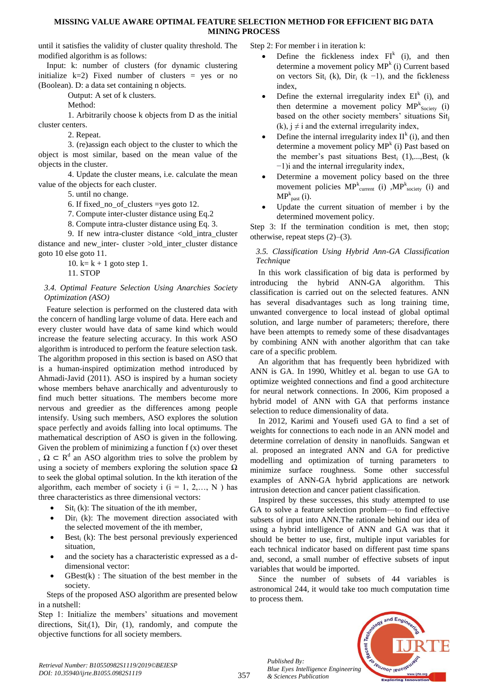#### **MISSING VALUE AWARE OPTIMAL FEATURE SELECTION METHOD FOR EFFICIENT BIG DATA MINING PROCESS**

until it satisfies the validity of cluster quality threshold. The modified algorithm is as follows:

Input: k: number of clusters (for dynamic clustering initialize  $k=2$ ) Fixed number of clusters = yes or no (Boolean). D: a data set containing n objects.

Output: A set of k clusters.

Method:

1. Arbitrarily choose k objects from D as the initial cluster centers.

2. Repeat.

3. (re)assign each object to the cluster to which the object is most similar, based on the mean value of the objects in the cluster.

4. Update the cluster means, i.e. calculate the mean value of the objects for each cluster.

5. until no change.

6. If fixed no of clusters =yes goto 12.

7. Compute inter-cluster distance using Eq.2

8. Compute intra-cluster distance using Eq. 3.

9. If new intra-cluster distance <old intra cluster distance and new inter- cluster >old\_inter\_cluster distance goto 10 else goto 11.

10.  $k = k + 1$  goto step 1. 11. STOP

#### *3.4. Optimal Feature Selection Using Anarchies Society Optimization (ASO)*

Feature selection is performed on the clustered data with the concern of handling large volume of data. Here each and every cluster would have data of same kind which would increase the feature selecting accuracy. In this work ASO algorithm is introduced to perform the feature selection task. The algorithm proposed in this section is based on ASO that is a human-inspired optimization method introduced by Ahmadi-Javid (2011). ASO is inspired by a human society whose members behave anarchically and adventurously to find much better situations. The members become more nervous and greedier as the differences among people intensify. Using such members, ASO explores the solution space perfectly and avoids falling into local optimums. The mathematical description of ASO is given in the following. Given the problem of minimizing a function  $f(x)$  over the set

,  $\Omega \subset \mathbb{R}^d$  an ASO algorithm tries to solve the problem by using a society of members exploring the solution space  $\Omega$ to seek the global optimal solution. In the kth iteration of the algorithm, each member of society i  $(i = 1, 2,..., N)$  has three characteristics as three dimensional vectors:

- $S$ it $_i$  (k): The situation of the ith member,
- $Dir_i$  (k): The movement direction associated with the selected movement of the ith member,
- Best<sub>i</sub> (k): The best personal previously experienced situation,
- and the society has a characteristic expressed as a ddimensional vector:
- $GBest(k)$ : The situation of the best member in the society.

Steps of the proposed ASO algorithm are presented below in a nutshell:

Step 1: Initialize the members' situations and movement directions,  $\text{Sit}_{i}(1)$ ,  $\text{Dir}_{i}(1)$ , randomly, and compute the objective functions for all society members.

Step 2: For member i in iteration k:

- Define the fickleness index  $FI<sup>k</sup>$  (i), and then determine a movement policy  $MP<sup>k</sup>$  (i) Current based on vectors Sit<sub>i</sub> (k), Dir<sub>i</sub> (k -1), and the fickleness index,
- Define the external irregularity index  $EI^k$  (i), and then determine a movement policy  $MP^k_{Society}$  (i) based on the other society members' situations Sit<sub>i</sub> (k),  $i \neq i$  and the external irregularity index,
- Define the internal irregularity index  $II^k$  (i), and then determine a movement policy  $MP<sup>k</sup>$  (i) Past based on the member's past situations  $Best_i$  (1),..., $Best_i$  (k −1)i and the internal irregularity index,
- Determine a movement policy based on the three movement policies  $MP_{current}^{k}$  (i) , MP<sub>society</sub> (i) and  $MP_{\text{past}}^k(i)$ .
- Update the current situation of member i by the determined movement policy.

Step 3: If the termination condition is met, then stop; otherwise, repeat steps (2)–(3).

## *3.5. Classification Using Hybrid Ann-GA Classification Technique*

In this work classification of big data is performed by introducing the hybrid ANN-GA algorithm. This classification is carried out on the selected features. ANN has several disadvantages such as long training time, unwanted convergence to local instead of global optimal solution, and large number of parameters; therefore, there have been attempts to remedy some of these disadvantages by combining ANN with another algorithm that can take care of a specific problem.

An algorithm that has frequently been hybridized with ANN is GA. In 1990, Whitley et al. began to use GA to optimize weighted connections and find a good architecture for neural network connections. In 2006, Kim proposed a hybrid model of ANN with GA that performs instance selection to reduce dimensionality of data.

In 2012, Karimi and Yousefi used GA to find a set of weights for connections to each node in an ANN model and determine correlation of density in nanofluids. Sangwan et al. proposed an integrated ANN and GA for predictive modelling and optimization of turning parameters to minimize surface roughness. Some other successful examples of ANN-GA hybrid applications are network intrusion detection and cancer patient classification.

Inspired by these successes, this study attempted to use GA to solve a feature selection problem—to find effective subsets of input into ANN.The rationale behind our idea of using a hybrid intelligence of ANN and GA was that it should be better to use, first, multiple input variables for each technical indicator based on different past time spans and, second, a small number of effective subsets of input variables that would be imported.

Since the number of subsets of 44 variables is astronomical 244, it would take too much computation time to process them.



*Published By: Blue Eyes Intelligence Engineering & Sciences Publication* 

357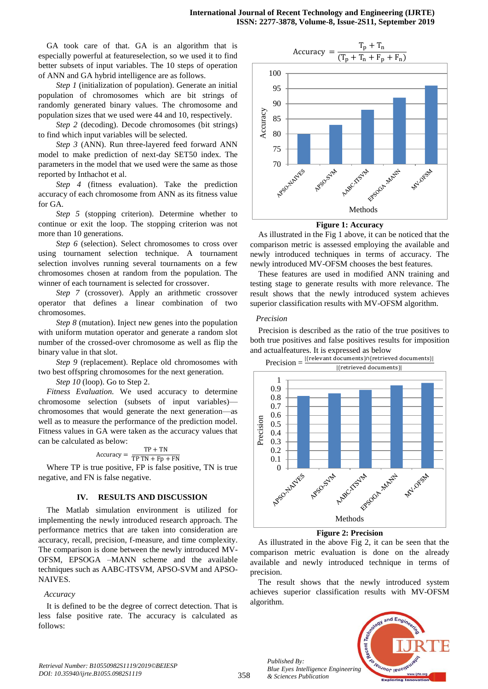GA took care of that. GA is an algorithm that is especially powerful at featureselection, so we used it to find better subsets of input variables. The 10 steps of operation of ANN and GA hybrid intelligence are as follows.

*Step 1* (initialization of population). Generate an initial population of chromosomes which are bit strings of randomly generated binary values. The chromosome and population sizes that we used were 44 and 10, respectively.

*Step 2* (decoding). Decode chromosomes (bit strings) to find which input variables will be selected.

*Step 3* (ANN). Run three-layered feed forward ANN model to make prediction of next-day SET50 index. The parameters in the model that we used were the same as those reported by Inthachot et al.

*Step 4* (fitness evaluation). Take the prediction accuracy of each chromosome from ANN as its fitness value for GA.

*Step 5* (stopping criterion). Determine whether to continue or exit the loop. The stopping criterion was not more than 10 generations.

*Step 6* (selection). Select chromosomes to cross over using tournament selection technique. A tournament selection involves running several tournaments on a few chromosomes chosen at random from the population. The winner of each tournament is selected for crossover.

*Step 7* (crossover). Apply an arithmetic crossover operator that defines a linear combination of two chromosomes.

*Step 8* (mutation). Inject new genes into the population with uniform mutation operator and generate a random slot number of the crossed-over chromosome as well as flip the binary value in that slot.

*Step 9* (replacement). Replace old chromosomes with two best offspring chromosomes for the next generation.

*Step 10* (loop). Go to Step 2.

*Fitness Evaluation.* We used accuracy to determine chromosome selection (subsets of input variables) chromosomes that would generate the next generation—as well as to measure the performance of the prediction model. Fitness values in GA were taken as the accuracy values that can be calculated as below:

$$
Accuracy = \frac{TP + TN}{TP TN + Fp + FN}
$$

Where TP is true positive, FP is false positive, TN is true negative, and FN is false negative.

#### **IV. RESULTS AND DISCUSSION**

The Matlab simulation environment is utilized for implementing the newly introduced research approach. The performance metrics that are taken into consideration are accuracy, recall, precision, f-measure, and time complexity. The comparison is done between the newly introduced MV-OFSM, EPSOGA –MANN scheme and the available techniques such as AABC-ITSVM, APSO-SVM and APSO-NAIVES.

#### *Accuracy*

It is defined to be the degree of correct detection. That is less false positive rate. The accuracy is calculated as follows:



**Figure 1: Accuracy**

As illustrated in the Fig 1 above, it can be noticed that the comparison metric is assessed employing the available and newly introduced techniques in terms of accuracy. The newly introduced MV-OFSM chooses the best features.

These features are used in modified ANN training and testing stage to generate results with more relevance. The result shows that the newly introduced system achieves superior classification results with MV-OFSM algorithm.

#### *Precision*

Precision is described as the ratio of the true positives to both true positives and false positives results for imposition and actualfeatures. It is expressed as below



**Figure 2: Precision**

As illustrated in the above Fig 2, it can be seen that the comparison metric evaluation is done on the already available and newly introduced technique in terms of precision.

The result shows that the newly introduced system achieves superior classification results with MV-OFSM algorithm.



*Published By:*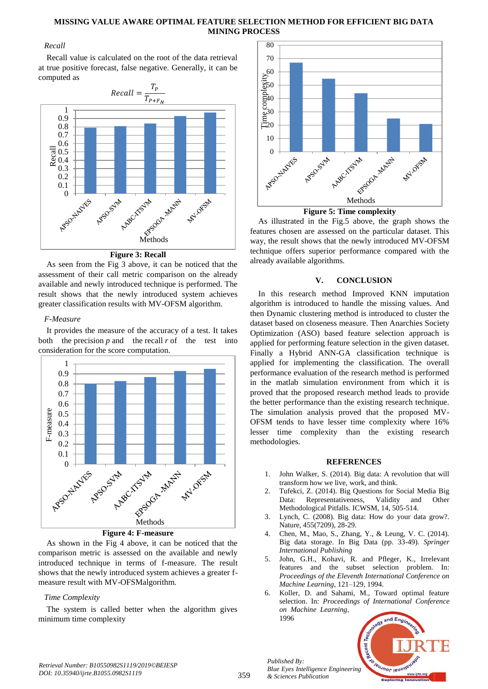## **MISSING VALUE AWARE OPTIMAL FEATURE SELECTION METHOD FOR EFFICIENT BIG DATA MINING PROCESS**

## *Recall*

Recall value is calculated on the root of the data retrieval at true positive forecast, false negative. Generally, it can be computed as



**Figure 3: Recall**

As seen from the Fig 3 above, it can be noticed that the assessment of their call metric comparison on the already available and newly introduced technique is performed. The result shows that the newly introduced system achieves greater classification results with MV-OFSM algorithm.

# *F-Measure*

It provides the measure of the accuracy of a test. It takes both the precision  $p$  and the recall  $r$  of the test into consideration for the score computation.





As shown in the Fig 4 above, it can be noticed that the comparison metric is assessed on the available and newly introduced technique in terms of f-measure. The result shows that the newly introduced system achieves a greater fmeasure result with MV-OFSMalgorithm.

# *Time Complexity*

The system is called better when the algorithm gives minimum time complexity



As illustrated in the Fig.5 above, the graph shows the features chosen are assessed on the particular dataset. This way, the result shows that the newly introduced MV-OFSM technique offers superior performance compared with the already available algorithms.

## **V. CONCLUSION**

In this research method Improved KNN imputation algorithm is introduced to handle the missing values. And then Dynamic clustering method is introduced to cluster the dataset based on closeness measure. Then Anarchies Society Optimization (ASO) based feature selection approach is applied for performing feature selection in the given dataset. Finally a Hybrid ANN-GA classification technique is applied for implementing the classification. The overall performance evaluation of the research method is performed in the matlab simulation environment from which it is proved that the proposed research method leads to provide the better performance than the existing research technique. The simulation analysis proved that the proposed MV-OFSM tends to have lesser time complexity where 16% lesser time complexity than the existing research methodologies.

## **REFERENCES**

- 1. John Walker, S. (2014). Big data: A revolution that will transform how we live, work, and think.
- 2. Tufekci, Z. (2014). Big Questions for Social Media Big Data: Representativeness, Validity and Other Methodological Pitfalls. ICWSM, 14, 505-514.
- 3. Lynch, C. (2008). Big data: How do your data grow?. Nature, 455(7209), 28-29.
- 4. Chen, M., Mao, S., Zhang, Y., & Leung, V. C. (2014). Big data storage. In Big Data (pp. 33-49). *Springer International Publishing*
- 5. John, G.H., Kohavi, R. and Pfleger, K., Irrelevant features and the subset selection problem. In: *Proceedings of the Eleventh International Conference on Machine Learning*, 121–129, 1994.
- 6. Koller, D. and Sahami, M., Toward optimal feature selection. In: *Proceedings of International Conference on Machine Learning,* 1996



*Published By:*